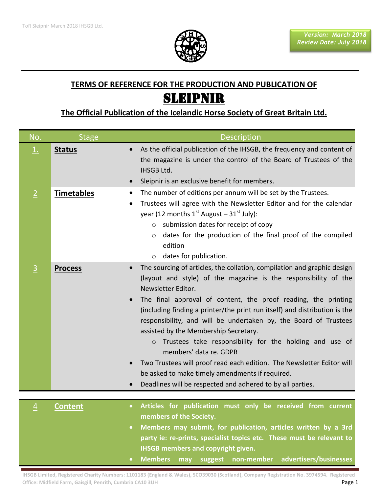

## **TERMS OF REFERENCE FOR THE PRODUCTION AND PUBLICATION OF** SLEIPNIR

## **The Official Publication of the Icelandic Horse Society of Great Britain Ltd.**

| No.            | <b>Stage</b>      | <b>Description</b>                                                                                                                                                                                                                                                                                                                                                                                                                                                                                                                                                                                                                                                                                                                                             |
|----------------|-------------------|----------------------------------------------------------------------------------------------------------------------------------------------------------------------------------------------------------------------------------------------------------------------------------------------------------------------------------------------------------------------------------------------------------------------------------------------------------------------------------------------------------------------------------------------------------------------------------------------------------------------------------------------------------------------------------------------------------------------------------------------------------------|
| $\perp$        | <b>Status</b>     | As the official publication of the IHSGB, the frequency and content of<br>$\bullet$<br>the magazine is under the control of the Board of Trustees of the<br>IHSGB Ltd.<br>Sleipnir is an exclusive benefit for members.<br>$\bullet$                                                                                                                                                                                                                                                                                                                                                                                                                                                                                                                           |
| $\overline{2}$ | <b>Timetables</b> | The number of editions per annum will be set by the Trustees.<br>$\bullet$<br>Trustees will agree with the Newsletter Editor and for the calendar<br>$\bullet$<br>year (12 months $1^{st}$ August – $31^{st}$ July):<br>submission dates for receipt of copy<br>$\circ$<br>dates for the production of the final proof of the compiled<br>$\circ$<br>edition<br>dates for publication.<br>$\circ$                                                                                                                                                                                                                                                                                                                                                              |
| $\overline{3}$ | <b>Process</b>    | The sourcing of articles, the collation, compilation and graphic design<br>$\bullet$<br>(layout and style) of the magazine is the responsibility of the<br>Newsletter Editor.<br>The final approval of content, the proof reading, the printing<br>$\bullet$<br>(including finding a printer/the print run itself) and distribution is the<br>responsibility, and will be undertaken by, the Board of Trustees<br>assisted by the Membership Secretary.<br>Trustees take responsibility for the holding and use of<br>$\circ$<br>members' data re. GDPR<br>Two Trustees will proof read each edition. The Newsletter Editor will<br>$\bullet$<br>be asked to make timely amendments if required.<br>Deadlines will be respected and adhered to by all parties. |
| $\overline{4}$ | <b>Content</b>    | Articles for publication must only be received from current<br>$\bullet$<br>members of the Society.<br>Members may submit, for publication, articles written by a 3rd<br>$\bullet$<br>party ie: re-prints, specialist topics etc. These must be relevant to<br><b>IHSGB members and copyright given.</b>                                                                                                                                                                                                                                                                                                                                                                                                                                                       |

**Members may suggest non-member advertisers/businesses** 

**IHSGB Limited, Registered Charity Numbers: 1101183 (England & Wales), SCO39030 (Scotland), Company Registration No. 3974594. Registered Office: Midfield Farm, Gaisgill, Penrith, Cumbria CA10 3UH Analysis of Analysis Control of Analysis Control of Ange 1**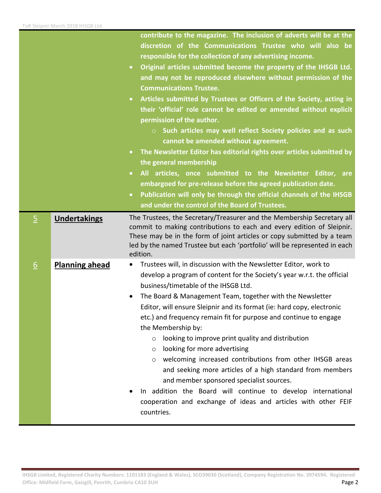|                |                       | contribute to the magazine. The inclusion of adverts will be at the<br>discretion of the Communications Trustee who will also be<br>responsible for the collection of any advertising income.<br>Original articles submitted become the property of the IHSGB Ltd.<br>$\bullet$<br>and may not be reproduced elsewhere without permission of the<br><b>Communications Trustee.</b><br>Articles submitted by Trustees or Officers of the Society, acting in<br>$\bullet$<br>their 'official' role cannot be edited or amended without explicit<br>permission of the author.<br>$\circ$ Such articles may well reflect Society policies and as such<br>cannot be amended without agreement.<br>The Newsletter Editor has editorial rights over articles submitted by<br>$\bullet$<br>the general membership<br>All articles, once submitted to the Newsletter Editor, are<br>$\bullet$<br>embargoed for pre-release before the agreed publication date.<br>Publication will only be through the official channels of the IHSGB<br>$\bullet$<br>and under the control of the Board of Trustees. |
|----------------|-----------------------|----------------------------------------------------------------------------------------------------------------------------------------------------------------------------------------------------------------------------------------------------------------------------------------------------------------------------------------------------------------------------------------------------------------------------------------------------------------------------------------------------------------------------------------------------------------------------------------------------------------------------------------------------------------------------------------------------------------------------------------------------------------------------------------------------------------------------------------------------------------------------------------------------------------------------------------------------------------------------------------------------------------------------------------------------------------------------------------------|
| $\overline{5}$ | <b>Undertakings</b>   | The Trustees, the Secretary/Treasurer and the Membership Secretary all<br>commit to making contributions to each and every edition of Sleipnir.<br>These may be in the form of joint articles or copy submitted by a team<br>led by the named Trustee but each 'portfolio' will be represented in each<br>edition.                                                                                                                                                                                                                                                                                                                                                                                                                                                                                                                                                                                                                                                                                                                                                                           |
| 6              | <b>Planning ahead</b> | Trustees will, in discussion with the Newsletter Editor, work to<br>٠<br>develop a program of content for the Society's year w.r.t. the official<br>business/timetable of the IHSGB Ltd.<br>The Board & Management Team, together with the Newsletter<br>٠<br>Editor, will ensure Sleipnir and its format (ie: hard copy, electronic<br>etc.) and frequency remain fit for purpose and continue to engage<br>the Membership by:<br>looking to improve print quality and distribution<br>$\circ$<br>looking for more advertising<br>$\circ$<br>welcoming increased contributions from other IHSGB areas<br>$\circ$<br>and seeking more articles of a high standard from members<br>and member sponsored specialist sources.<br>In addition the Board will continue to develop international<br>cooperation and exchange of ideas and articles with other FEIF<br>countries.                                                                                                                                                                                                                   |